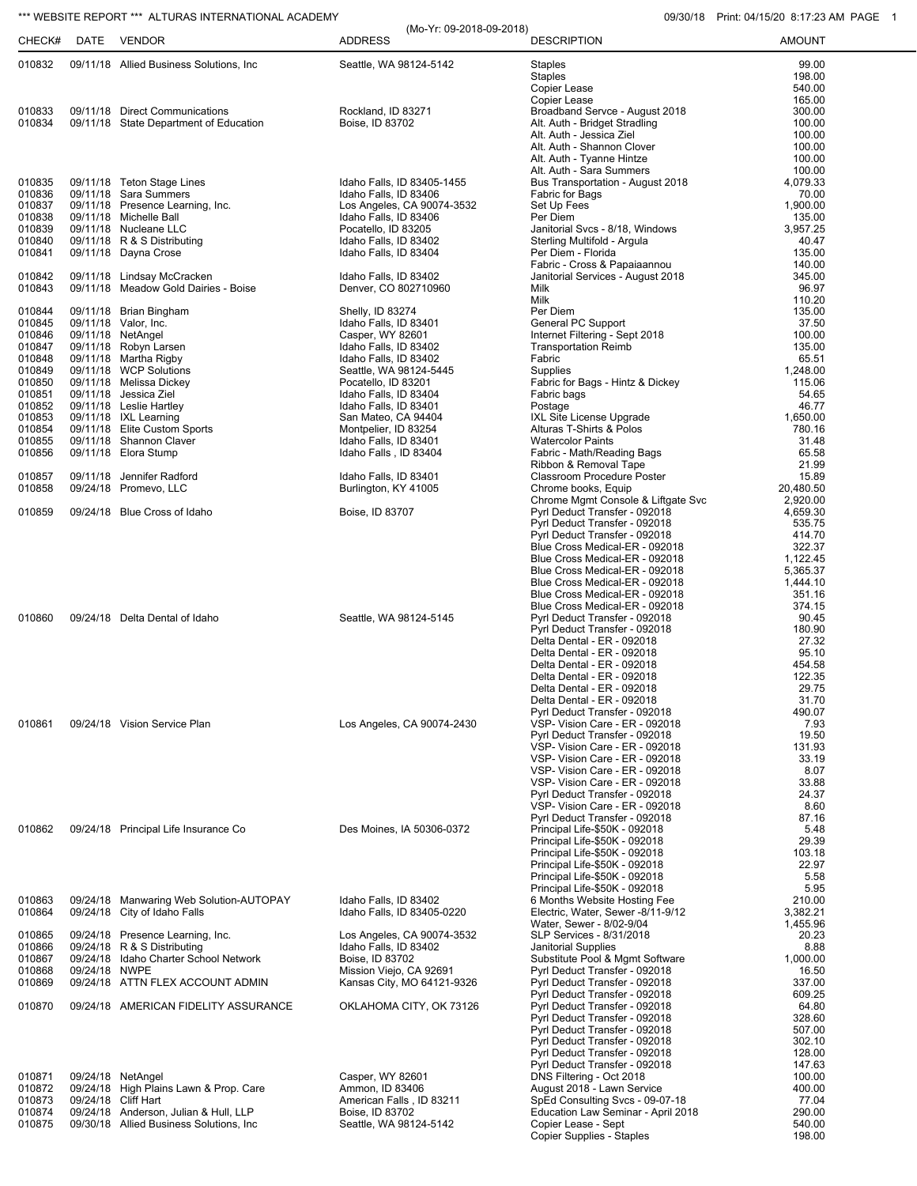## \*\*\* WEBSITE REPORT \*\*\* ALTURAS INTERNATIONAL ACADEMY **CONSUMENT ACCOUNT OF A CALCULARY CONTRACT A** COMBINE O 09/30/18 Print: 04/15/20 8:17:23 AM PAGE 1

| CHECK#           | DATE     | VENDOR                                                             | (Mo-Yr: 09-2018-09-2018)<br><b>ADDRESS</b>            | <b>DESCRIPTION</b>                                               | <b>AMOUNT</b>      |
|------------------|----------|--------------------------------------------------------------------|-------------------------------------------------------|------------------------------------------------------------------|--------------------|
| 010832           |          | 09/11/18 Allied Business Solutions, Inc.                           | Seattle, WA 98124-5142                                | <b>Staples</b>                                                   | 99.00              |
|                  |          |                                                                    |                                                       | <b>Staples</b>                                                   | 198.00             |
|                  |          |                                                                    |                                                       | Copier Lease                                                     | 540.00             |
| 010833           |          | 09/11/18 Direct Communications                                     | Rockland, ID 83271                                    | Copier Lease<br>Broadband Servce - August 2018                   | 165.00<br>300.00   |
| 010834           |          | 09/11/18 State Department of Education                             | Boise, ID 83702                                       | Alt. Auth - Bridget Stradling                                    | 100.00             |
|                  |          |                                                                    |                                                       | Alt. Auth - Jessica Ziel                                         | 100.00             |
|                  |          |                                                                    |                                                       | Alt. Auth - Shannon Clover                                       | 100.00             |
|                  |          |                                                                    |                                                       | Alt. Auth - Tyanne Hintze                                        | 100.00             |
|                  |          |                                                                    |                                                       | Alt. Auth - Sara Summers                                         | 100.00             |
| 010835           |          | 09/11/18 Teton Stage Lines                                         | Idaho Falls, ID 83405-1455                            | Bus Transportation - August 2018                                 | 4,079.33           |
| 010836<br>010837 |          | 09/11/18 Sara Summers<br>09/11/18 Presence Learning, Inc.          | Idaho Falls, ID 83406<br>Los Angeles, CA 90074-3532   | Fabric for Bags<br>Set Up Fees                                   | 70.00<br>1,900.00  |
| 010838           |          | 09/11/18 Michelle Ball                                             | Idaho Falls, ID 83406                                 | Per Diem                                                         | 135.00             |
| 010839           |          | 09/11/18 Nucleane LLC                                              | Pocatello, ID 83205                                   | Janitorial Svcs - 8/18, Windows                                  | 3,957.25           |
| 010840           |          | 09/11/18 R & S Distributing                                        | Idaho Falls, ID 83402                                 | Sterling Multifold - Argula                                      | 40.47              |
| 010841           |          | 09/11/18 Dayna Crose                                               | Idaho Falls, ID 83404                                 | Per Diem - Florida                                               | 135.00             |
|                  |          |                                                                    |                                                       | Fabric - Cross & Papaiaannou                                     | 140.00             |
| 010842<br>010843 |          | 09/11/18 Lindsay McCracken<br>09/11/18 Meadow Gold Dairies - Boise | Idaho Falls, ID 83402<br>Denver, CO 802710960         | Janitorial Services - August 2018<br>Milk                        | 345.00<br>96.97    |
|                  |          |                                                                    |                                                       | Milk                                                             | 110.20             |
| 010844           |          | 09/11/18 Brian Bingham                                             | Shelly, ID 83274                                      | Per Diem                                                         | 135.00             |
| 010845           |          | 09/11/18 Valor, Inc.                                               | Idaho Falls, ID 83401                                 | General PC Support                                               | 37.50              |
| 010846           |          | 09/11/18 NetAngel                                                  | Casper, WY 82601                                      | Internet Filtering - Sept 2018                                   | 100.00             |
| 010847           |          | 09/11/18 Robyn Larsen                                              | Idaho Falls, ID 83402                                 | <b>Transportation Reimb</b>                                      | 135.00             |
| 010848<br>010849 |          | 09/11/18 Martha Rigby<br>09/11/18 WCP Solutions                    | Idaho Falls, ID 83402<br>Seattle, WA 98124-5445       | Fabric<br><b>Supplies</b>                                        | 65.51<br>1,248.00  |
| 010850           |          | 09/11/18 Melissa Dickey                                            | Pocatello, ID 83201                                   | Fabric for Bags - Hintz & Dickey                                 | 115.06             |
| 010851           |          | 09/11/18 Jessica Ziel                                              | Idaho Falls, ID 83404                                 | Fabric bags                                                      | 54.65              |
| 010852           |          | 09/11/18 Leslie Hartley                                            | Idaho Falls, ID 83401                                 | Postage                                                          | 46.77              |
| 010853           |          | 09/11/18 IXL Learning                                              | San Mateo, CA 94404                                   | IXL Site License Upgrade                                         | 1,650.00           |
| 010854           |          | 09/11/18 Elite Custom Sports                                       | Montpelier, ID 83254                                  | Alturas T-Shirts & Polos                                         | 780.16             |
| 010855           |          | 09/11/18 Shannon Claver                                            | Idaho Falls, ID 83401                                 | <b>Watercolor Paints</b>                                         | 31.48              |
| 010856           |          | 09/11/18 Elora Stump                                               | Idaho Falls, ID 83404                                 | Fabric - Math/Reading Bags<br>Ribbon & Removal Tape              | 65.58<br>21.99     |
| 010857           | 09/11/18 | Jennifer Radford                                                   | Idaho Falls, ID 83401                                 | Classroom Procedure Poster                                       | 15.89              |
| 010858           |          | 09/24/18 Promevo, LLC                                              | Burlington, KY 41005                                  | Chrome books, Equip                                              | 20,480.50          |
|                  |          |                                                                    |                                                       | Chrome Mgmt Console & Liftgate Svc                               | 2,920.00           |
| 010859           |          | 09/24/18 Blue Cross of Idaho                                       | Boise, ID 83707                                       | Pyrl Deduct Transfer - 092018                                    | 4,659.30           |
|                  |          |                                                                    |                                                       | Pyrl Deduct Transfer - 092018                                    | 535.75             |
|                  |          |                                                                    |                                                       | Pyrl Deduct Transfer - 092018                                    | 414.70             |
|                  |          |                                                                    |                                                       | Blue Cross Medical-ER - 092018<br>Blue Cross Medical-ER - 092018 | 322.37<br>1,122.45 |
|                  |          |                                                                    |                                                       | Blue Cross Medical-ER - 092018                                   | 5,365.37           |
|                  |          |                                                                    |                                                       | Blue Cross Medical-ER - 092018                                   | 1,444.10           |
|                  |          |                                                                    |                                                       | Blue Cross Medical-ER - 092018                                   | 351.16             |
|                  |          |                                                                    |                                                       | Blue Cross Medical-ER - 092018                                   | 374.15             |
| 010860           |          | 09/24/18 Delta Dental of Idaho                                     | Seattle, WA 98124-5145                                | Pyrl Deduct Transfer - 092018                                    | 90.45              |
|                  |          |                                                                    |                                                       | Pyrl Deduct Transfer - 092018<br>Delta Dental - ER - 092018      | 180.90<br>27.32    |
|                  |          |                                                                    |                                                       | Delta Dental - ER - 092018                                       | 95.10              |
|                  |          |                                                                    |                                                       | Delta Dental - ER - 092018                                       | 454.58             |
|                  |          |                                                                    |                                                       | Delta Dental - ER - 092018                                       | 122.35             |
|                  |          |                                                                    |                                                       | Delta Dental - ER - 092018                                       | 29.75              |
|                  |          |                                                                    |                                                       | Delta Dental - ER - 092018                                       | 31.70              |
| 010861           |          | 09/24/18 Vision Service Plan                                       | Los Angeles, CA 90074-2430                            | Pyrl Deduct Transfer - 092018<br>VSP- Vision Care - ER - 092018  | 490.07<br>7.93     |
|                  |          |                                                                    |                                                       | Pyrl Deduct Transfer - 092018                                    | 19.50              |
|                  |          |                                                                    |                                                       | VSP- Vision Care - ER - 092018                                   | 131.93             |
|                  |          |                                                                    |                                                       | VSP- Vision Care - ER - 092018                                   | 33.19              |
|                  |          |                                                                    |                                                       | VSP- Vision Care - ER - 092018                                   | 8.07               |
|                  |          |                                                                    |                                                       | VSP- Vision Care - ER - 092018                                   | 33.88              |
|                  |          |                                                                    |                                                       | Pyrl Deduct Transfer - 092018<br>VSP- Vision Care - ER - 092018  | 24.37<br>8.60      |
|                  |          |                                                                    |                                                       | Pyrl Deduct Transfer - 092018                                    | 87.16              |
| 010862           |          | 09/24/18 Principal Life Insurance Co                               | Des Moines, IA 50306-0372                             | Principal Life-\$50K - 092018                                    | 5.48               |
|                  |          |                                                                    |                                                       | Principal Life-\$50K - 092018                                    | 29.39              |
|                  |          |                                                                    |                                                       | Principal Life-\$50K - 092018                                    | 103.18             |
|                  |          |                                                                    |                                                       | Principal Life-\$50K - 092018                                    | 22.97              |
|                  |          |                                                                    |                                                       | Principal Life-\$50K - 092018                                    | 5.58<br>5.95       |
| 010863           |          | 09/24/18 Manwaring Web Solution-AUTOPAY                            | Idaho Falls, ID 83402                                 | Principal Life-\$50K - 092018<br>6 Months Website Hosting Fee    | 210.00             |
| 010864           |          | 09/24/18 City of Idaho Falls                                       | Idaho Falls, ID 83405-0220                            | Electric, Water, Sewer -8/11-9/12                                | 3,382.21           |
|                  |          |                                                                    |                                                       | Water, Sewer - 8/02-9/04                                         | 1,455.96           |
| 010865           |          | 09/24/18 Presence Learning, Inc.                                   | Los Angeles, CA 90074-3532                            | SLP Services - 8/31/2018                                         | 20.23              |
| 010866           |          | 09/24/18 R & S Distributing                                        | Idaho Falls, ID 83402                                 | <b>Janitorial Supplies</b>                                       | 8.88               |
| 010867           |          | 09/24/18 Idaho Charter School Network                              | Boise, ID 83702                                       | Substitute Pool & Mgmt Software                                  | 1,000.00           |
| 010868<br>010869 | 09/24/18 | <b>NWPE</b><br>09/24/18 ATTN FLEX ACCOUNT ADMIN                    | Mission Viejo, CA 92691<br>Kansas City, MO 64121-9326 | Pyrl Deduct Transfer - 092018<br>Pyrl Deduct Transfer - 092018   | 16.50<br>337.00    |
|                  |          |                                                                    |                                                       | Pyrl Deduct Transfer - 092018                                    | 609.25             |
| 010870           |          | 09/24/18 AMERICAN FIDELITY ASSURANCE                               | OKLAHOMA CITY, OK 73126                               | Pyrl Deduct Transfer - 092018                                    | 64.80              |
|                  |          |                                                                    |                                                       | Pyrl Deduct Transfer - 092018                                    | 328.60             |
|                  |          |                                                                    |                                                       | Pyrl Deduct Transfer - 092018                                    | 507.00             |
|                  |          |                                                                    |                                                       | Pyrl Deduct Transfer - 092018                                    | 302.10             |
|                  |          |                                                                    |                                                       | Pyrl Deduct Transfer - 092018                                    | 128.00<br>147.63   |
| 010871           |          | 09/24/18 NetAngel                                                  | Casper, WY 82601                                      | Pyrl Deduct Transfer - 092018<br>DNS Filtering - Oct 2018        | 100.00             |
| 010872           |          | 09/24/18 High Plains Lawn & Prop. Care                             | Ammon, ID 83406                                       | August 2018 - Lawn Service                                       | 400.00             |
| 010873           |          | 09/24/18 Cliff Hart                                                | American Falls, ID 83211                              | SpEd Consulting Svcs - 09-07-18                                  | 77.04              |
| 010874           |          | 09/24/18 Anderson, Julian & Hull, LLP                              | Boise, ID 83702                                       | Education Law Seminar - April 2018                               | 290.00             |
| 010875           |          | 09/30/18 Allied Business Solutions, Inc.                           | Seattle, WA 98124-5142                                | Copier Lease - Sept                                              | 540.00             |
|                  |          |                                                                    |                                                       | Copier Supplies - Staples                                        | 198.00             |